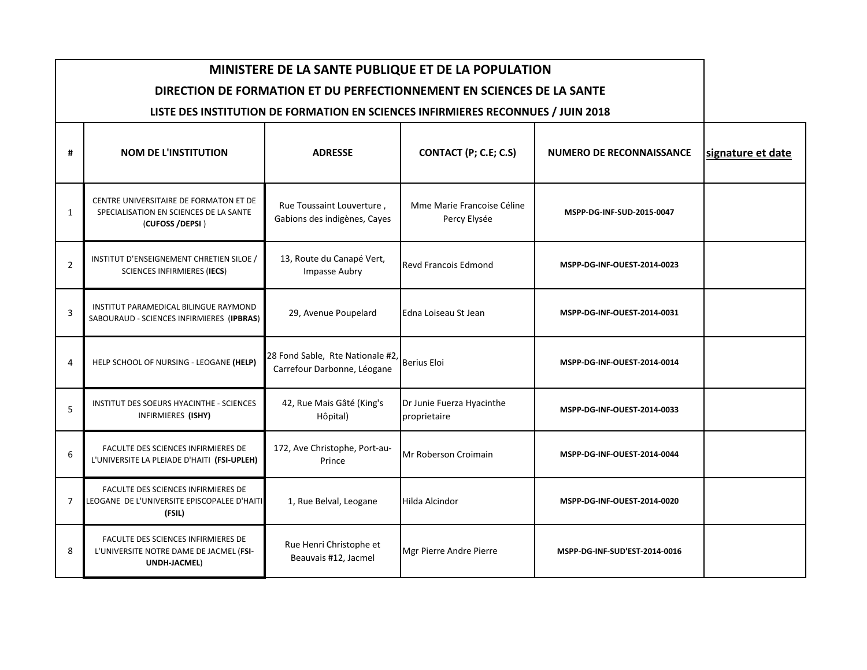| MINISTERE DE LA SANTE PUBLIQUE ET DE LA POPULATION |                                                                                                       |                                                                 |                                            |                                 |                   |  |
|----------------------------------------------------|-------------------------------------------------------------------------------------------------------|-----------------------------------------------------------------|--------------------------------------------|---------------------------------|-------------------|--|
|                                                    | DIRECTION DE FORMATION ET DU PERFECTIONNEMENT EN SCIENCES DE LA SANTE                                 |                                                                 |                                            |                                 |                   |  |
|                                                    | LISTE DES INSTITUTION DE FORMATION EN SCIENCES INFIRMIERES RECONNUES / JUIN 2018                      |                                                                 |                                            |                                 |                   |  |
| #                                                  | <b>NOM DE L'INSTITUTION</b>                                                                           | <b>ADRESSE</b>                                                  | CONTACT (P; C.E; C.S)                      | <b>NUMERO DE RECONNAISSANCE</b> | signature et date |  |
| 1                                                  | CENTRE UNIVERSITAIRE DE FORMATON ET DE<br>SPECIALISATION EN SCIENCES DE LA SANTE<br>(CUFOSS /DEPSI)   | Rue Toussaint Louverture,<br>Gabions des indigènes, Cayes       | Mme Marie Francoise Céline<br>Percy Elysée | MSPP-DG-INF-SUD-2015-0047       |                   |  |
| $\overline{2}$                                     | INSTITUT D'ENSEIGNEMENT CHRETIEN SILOE /<br><b>SCIENCES INFIRMIERES (IECS)</b>                        | 13, Route du Canapé Vert,<br>Impasse Aubry                      | <b>Revd Francois Edmond</b>                | MSPP-DG-INF-OUEST-2014-0023     |                   |  |
| 3                                                  | INSTITUT PARAMEDICAL BILINGUE RAYMOND<br>SABOURAUD - SCIENCES INFIRMIERES (IPBRAS)                    | 29, Avenue Poupelard                                            | Edna Loiseau St Jean                       | MSPP-DG-INF-OUEST-2014-0031     |                   |  |
| 4                                                  | HELP SCHOOL OF NURSING - LEOGANE (HELP)                                                               | 28 Fond Sable, Rte Nationale #2,<br>Carrefour Darbonne, Léogane | Berius Eloi                                | MSPP-DG-INF-OUEST-2014-0014     |                   |  |
| 5                                                  | INSTITUT DES SOEURS HYACINTHE - SCIENCES<br>INFIRMIERES (ISHY)                                        | 42, Rue Mais Gâté (King's<br>Hôpital)                           | Dr Junie Fuerza Hyacinthe<br>proprietaire  | MSPP-DG-INF-OUEST-2014-0033     |                   |  |
| 6                                                  | FACULTE DES SCIENCES INFIRMIERES DE<br>L'UNIVERSITE LA PLEIADE D'HAITI (FSI-UPLEH)                    | 172, Ave Christophe, Port-au-<br>Prince                         | Mr Roberson Croimain                       | MSPP-DG-INF-OUEST-2014-0044     |                   |  |
| $\overline{7}$                                     | FACULTE DES SCIENCES INFIRMIERES DE<br>LEOGANE DE L'UNIVERSITE EPISCOPALEE D'HAITI<br>(FSIL)          | 1, Rue Belval, Leogane                                          | Hilda Alcindor                             | MSPP-DG-INF-OUEST-2014-0020     |                   |  |
| 8                                                  | FACULTE DES SCIENCES INFIRMIERES DE<br>L'UNIVERSITE NOTRE DAME DE JACMEL (FSI-<br><b>UNDH-JACMEL)</b> | Rue Henri Christophe et<br>Beauvais #12, Jacmel                 | Mgr Pierre Andre Pierre                    | MSPP-DG-INF-SUD'EST-2014-0016   |                   |  |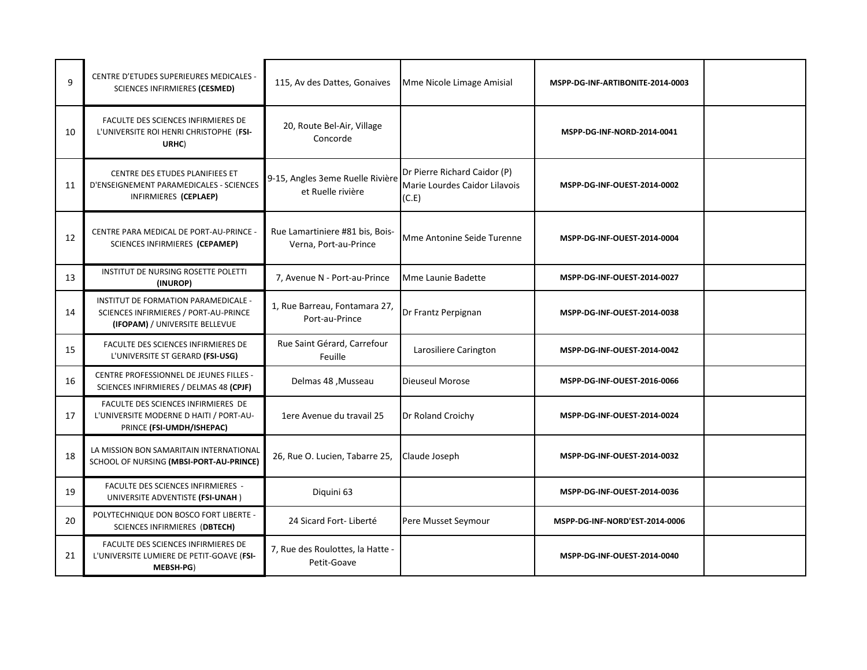| 9  | CENTRE D'ETUDES SUPERIEURES MEDICALES -<br>SCIENCES INFIRMIERES (CESMED)                                        | 115, Av des Dattes, Gonaives                             | Mme Nicole Limage Amisial                                              | MSPP-DG-INF-ARTIBONITE-2014-0003 |  |
|----|-----------------------------------------------------------------------------------------------------------------|----------------------------------------------------------|------------------------------------------------------------------------|----------------------------------|--|
| 10 | FACULTE DES SCIENCES INFIRMIERES DE<br>L'UNIVERSITE ROI HENRI CHRISTOPHE (FSI-<br>URHC)                         | 20, Route Bel-Air, Village<br>Concorde                   |                                                                        | MSPP-DG-INF-NORD-2014-0041       |  |
| 11 | CENTRE DES ETUDES PLANIFIEES ET<br>D'ENSEIGNEMENT PARAMEDICALES - SCIENCES<br>INFIRMIERES (CEPLAEP)             | 9-15, Angles 3eme Ruelle Rivière<br>et Ruelle rivière    | Dr Pierre Richard Caidor (P)<br>Marie Lourdes Caidor Lilavois<br>(C.E) | MSPP-DG-INF-OUEST-2014-0002      |  |
| 12 | CENTRE PARA MEDICAL DE PORT-AU-PRINCE -<br>SCIENCES INFIRMIERES (CEPAMEP)                                       | Rue Lamartiniere #81 bis, Bois-<br>Verna, Port-au-Prince | Mme Antonine Seide Turenne                                             | MSPP-DG-INF-OUEST-2014-0004      |  |
| 13 | INSTITUT DE NURSING ROSETTE POLETTI<br>(INUROP)                                                                 | 7, Avenue N - Port-au-Prince                             | <b>Mme Launie Badette</b>                                              | MSPP-DG-INF-OUEST-2014-0027      |  |
| 14 | INSTITUT DE FORMATION PARAMEDICALE -<br>SCIENCES INFIRMIERES / PORT-AU-PRINCE<br>(IFOPAM) / UNIVERSITE BELLEVUE | 1, Rue Barreau, Fontamara 27,<br>Port-au-Prince          | Dr Frantz Perpignan                                                    | MSPP-DG-INF-OUEST-2014-0038      |  |
| 15 | FACULTE DES SCIENCES INFIRMIERES DE<br>L'UNIVERSITE ST GERARD (FSI-USG)                                         | Rue Saint Gérard, Carrefour<br>Feuille                   | Larosiliere Carington                                                  | MSPP-DG-INF-OUEST-2014-0042      |  |
| 16 | CENTRE PROFESSIONNEL DE JEUNES FILLES -<br>SCIENCES INFIRMIERES / DELMAS 48 (CPJF)                              | Delmas 48, Musseau                                       | Dieuseul Morose                                                        | MSPP-DG-INF-OUEST-2016-0066      |  |
| 17 | FACULTE DES SCIENCES INFIRMIERES DE<br>L'UNIVERSITE MODERNE D HAITI / PORT-AU-<br>PRINCE (FSI-UMDH/ISHEPAC)     | 1ere Avenue du travail 25                                | Dr Roland Croichy                                                      | MSPP-DG-INF-OUEST-2014-0024      |  |
| 18 | LA MISSION BON SAMARITAIN INTERNATIONAL<br>SCHOOL OF NURSING (MBSI-PORT-AU-PRINCE)                              | 26, Rue O. Lucien, Tabarre 25,                           | Claude Joseph                                                          | MSPP-DG-INF-OUEST-2014-0032      |  |
| 19 | FACULTE DES SCIENCES INFIRMIERES -<br>UNIVERSITE ADVENTISTE (FSI-UNAH)                                          | Diquini 63                                               |                                                                        | MSPP-DG-INF-OUEST-2014-0036      |  |
| 20 | POLYTECHNIQUE DON BOSCO FORT LIBERTE -<br>SCIENCES INFIRMIERES (DBTECH)                                         | 24 Sicard Fort-Liberté                                   | Pere Musset Seymour                                                    | MSPP-DG-INF-NORD'EST-2014-0006   |  |
| 21 | FACULTE DES SCIENCES INFIRMIERES DE<br>L'UNIVERSITE LUMIERE DE PETIT-GOAVE (FSI-<br>MEBSH-PG)                   | 7, Rue des Roulottes, la Hatte -<br>Petit-Goave          |                                                                        | MSPP-DG-INF-OUEST-2014-0040      |  |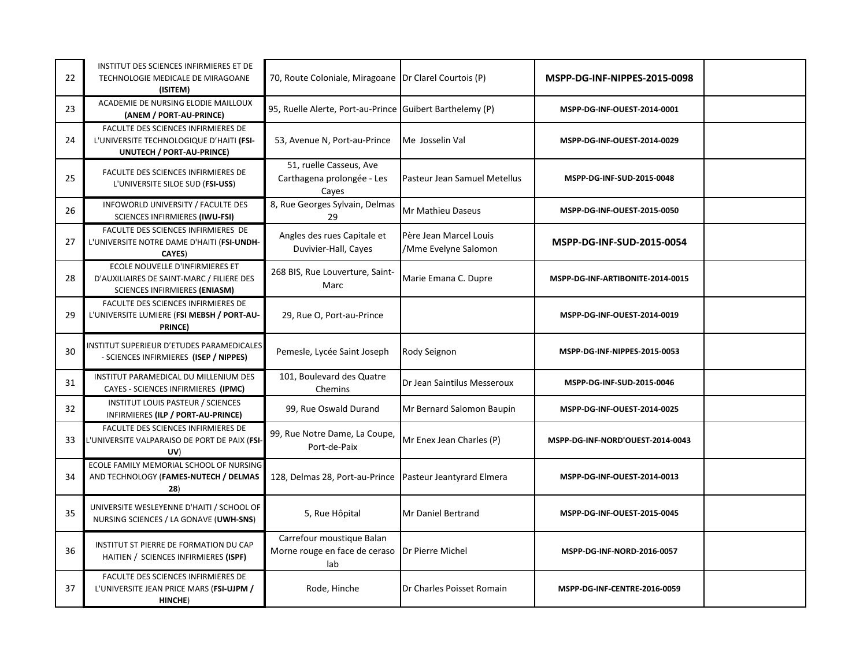| 22 | INSTITUT DES SCIENCES INFIRMIERES ET DE<br>TECHNOLOGIE MEDICALE DE MIRAGOANE<br>(ISITEM)                             | 70, Route Coloniale, Miragoane   Dr Clarel Courtois (P)           |                                                | MSPP-DG-INF-NIPPES-2015-0098     |  |
|----|----------------------------------------------------------------------------------------------------------------------|-------------------------------------------------------------------|------------------------------------------------|----------------------------------|--|
| 23 | ACADEMIE DE NURSING ELODIE MAILLOUX<br>(ANEM / PORT-AU-PRINCE)                                                       | 95, Ruelle Alerte, Port-au-Prince Guibert Barthelemy (P)          |                                                | MSPP-DG-INF-OUEST-2014-0001      |  |
| 24 | FACULTE DES SCIENCES INFIRMIERES DE<br>L'UNIVERSITE TECHNOLOGIQUE D'HAITI (FSI-<br>UNUTECH / PORT-AU-PRINCE)         | 53, Avenue N, Port-au-Prince                                      | Me Josselin Val                                | MSPP-DG-INF-OUEST-2014-0029      |  |
| 25 | FACULTE DES SCIENCES INFIRMIERES DE<br>L'UNIVERSITE SILOE SUD (FSI-USS)                                              | 51, ruelle Casseus, Ave<br>Carthagena prolongée - Les<br>Cayes    | Pasteur Jean Samuel Metellus                   | MSPP-DG-INF-SUD-2015-0048        |  |
| 26 | INFOWORLD UNIVERSITY / FACULTE DES<br>SCIENCES INFIRMIERES (IWU-FSI)                                                 | 8, Rue Georges Sylvain, Delmas<br>29                              | Mr Mathieu Daseus                              | MSPP-DG-INF-OUEST-2015-0050      |  |
| 27 | FACULTE DES SCIENCES INFIRMIERES DE<br>L'UNIVERSITE NOTRE DAME D'HAITI (FSI-UNDH-<br><b>CAYES)</b>                   | Angles des rues Capitale et<br>Duvivier-Hall, Cayes               | Père Jean Marcel Louis<br>/Mme Evelyne Salomon | MSPP-DG-INF-SUD-2015-0054        |  |
| 28 | ECOLE NOUVELLE D'INFIRMIERES ET<br>D'AUXILIAIRES DE SAINT-MARC / FILIERE DES<br><b>SCIENCES INFIRMIERES (ENIASM)</b> | 268 BIS, Rue Louverture, Saint-<br>Marc                           | Marie Emana C. Dupre                           | MSPP-DG-INF-ARTIBONITE-2014-0015 |  |
| 29 | FACULTE DES SCIENCES INFIRMIERES DE<br>L'UNIVERSITE LUMIERE (FSI MEBSH / PORT-AU-<br>PRINCE)                         | 29, Rue O, Port-au-Prince                                         |                                                | MSPP-DG-INF-OUEST-2014-0019      |  |
| 30 | INSTITUT SUPERIEUR D'ETUDES PARAMEDICALES<br>- SCIENCES INFIRMIERES (ISEP / NIPPES)                                  | Pemesle, Lycée Saint Joseph                                       | Rody Seignon                                   | MSPP-DG-INF-NIPPES-2015-0053     |  |
| 31 | INSTITUT PARAMEDICAL DU MILLENIUM DES<br>CAYES - SCIENCES INFIRMIERES (IPMC)                                         | 101, Boulevard des Quatre<br>Chemins                              | Dr Jean Saintilus Messeroux                    | MSPP-DG-INF-SUD-2015-0046        |  |
| 32 | <b>INSTITUT LOUIS PASTEUR / SCIENCES</b><br>INFIRMIERES (ILP / PORT-AU-PRINCE)                                       | 99, Rue Oswald Durand                                             | Mr Bernard Salomon Baupin                      | MSPP-DG-INF-OUEST-2014-0025      |  |
| 33 | FACULTE DES SCIENCES INFIRMIERES DE<br>L'UNIVERSITE VALPARAISO DE PORT DE PAIX (FSI-<br>UV)                          | 99, Rue Notre Dame, La Coupe,<br>Port-de-Paix                     | Mr Enex Jean Charles (P)                       | MSPP-DG-INF-NORD'OUEST-2014-0043 |  |
| 34 | ECOLE FAMILY MEMORIAL SCHOOL OF NURSING<br>AND TECHNOLOGY (FAMES-NUTECH / DELMAS<br>28)                              | 128, Delmas 28, Port-au-Prince Pasteur Jeantyrard Elmera          |                                                | MSPP-DG-INF-OUEST-2014-0013      |  |
| 35 | UNIVERSITE WESLEYENNE D'HAITI / SCHOOL OF<br>NURSING SCIENCES / LA GONAVE (UWH-SNS)                                  | 5, Rue Hôpital                                                    | Mr Daniel Bertrand                             | MSPP-DG-INF-OUEST-2015-0045      |  |
| 36 | INSTITUT ST PIERRE DE FORMATION DU CAP<br>HAITIEN / SCIENCES INFIRMIERES (ISPF)                                      | Carrefour moustique Balan<br>Morne rouge en face de ceraso<br>lab | Dr Pierre Michel                               | MSPP-DG-INF-NORD-2016-0057       |  |
| 37 | FACULTE DES SCIENCES INFIRMIERES DE<br>L'UNIVERSITE JEAN PRICE MARS (FSI-UJPM /<br>HINCHE)                           | Rode, Hinche                                                      | Dr Charles Poisset Romain                      | MSPP-DG-INF-CENTRE-2016-0059     |  |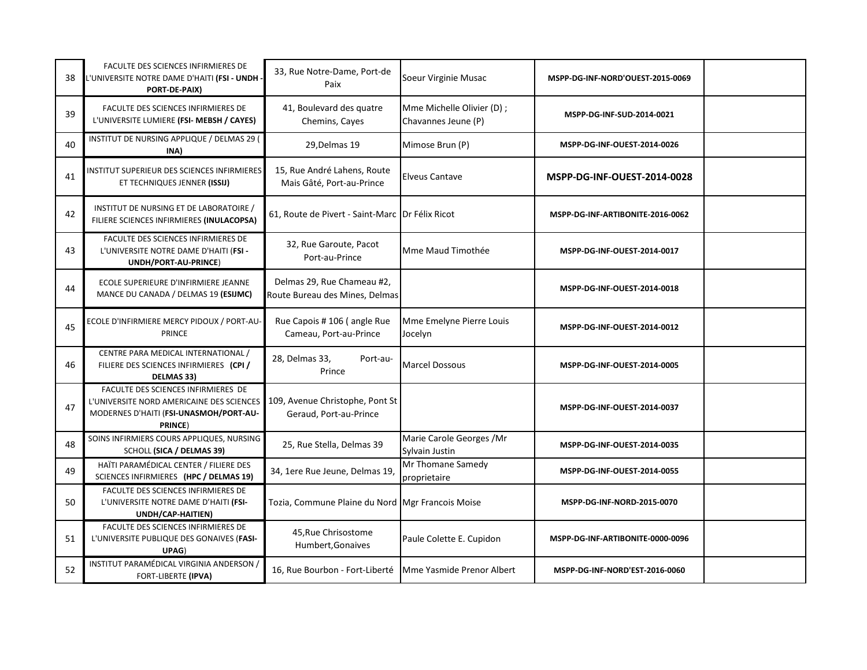| 38 | FACULTE DES SCIENCES INFIRMIERES DE<br>L'UNIVERSITE NOTRE DAME D'HAITI (FSI - UNDH -<br>PORT-DE-PAIX)                                 | 33, Rue Notre-Dame, Port-de<br>Paix                          | Soeur Virginie Musac                             | MSPP-DG-INF-NORD'OUEST-2015-0069 |  |
|----|---------------------------------------------------------------------------------------------------------------------------------------|--------------------------------------------------------------|--------------------------------------------------|----------------------------------|--|
| 39 | FACULTE DES SCIENCES INFIRMIERES DE<br>L'UNIVERSITE LUMIERE (FSI-MEBSH / CAYES)                                                       | 41, Boulevard des quatre<br>Chemins, Cayes                   | Mme Michelle Olivier (D);<br>Chavannes Jeune (P) | MSPP-DG-INF-SUD-2014-0021        |  |
| 40 | INSTITUT DE NURSING APPLIQUE / DELMAS 29 (<br>INA)                                                                                    | 29, Delmas 19                                                | Mimose Brun (P)                                  | MSPP-DG-INF-OUEST-2014-0026      |  |
| 41 | INSTITUT SUPERIEUR DES SCIENCES INFIRMIERES<br>ET TECHNIQUES JENNER (ISSIJ)                                                           | 15, Rue André Lahens, Route<br>Mais Gâté, Port-au-Prince     | <b>Elveus Cantave</b>                            | MSPP-DG-INF-OUEST-2014-0028      |  |
| 42 | INSTITUT DE NURSING ET DE LABORATOIRE /<br>FILIERE SCIENCES INFIRMIERES (INULACOPSA)                                                  | 61, Route de Pivert - Saint-Marc Dr Félix Ricot              |                                                  | MSPP-DG-INF-ARTIBONITE-2016-0062 |  |
| 43 | FACULTE DES SCIENCES INFIRMIERES DE<br>L'UNIVERSITE NOTRE DAME D'HAITI (FSI -<br>UNDH/PORT-AU-PRINCE)                                 | 32, Rue Garoute, Pacot<br>Port-au-Prince                     | Mme Maud Timothée                                | MSPP-DG-INF-OUEST-2014-0017      |  |
| 44 | ECOLE SUPERIEURE D'INFIRMIERE JEANNE<br>MANCE DU CANADA / DELMAS 19 (ESIJMC)                                                          | Delmas 29, Rue Chameau #2,<br>Route Bureau des Mines, Delmas |                                                  | MSPP-DG-INF-OUEST-2014-0018      |  |
| 45 | ECOLE D'INFIRMIERE MERCY PIDOUX / PORT-AU-<br>PRINCE                                                                                  | Rue Capois # 106 (angle Rue<br>Cameau, Port-au-Prince        | Mme Emelyne Pierre Louis<br>Jocelyn              | MSPP-DG-INF-OUEST-2014-0012      |  |
| 46 | CENTRE PARA MEDICAL INTERNATIONAL /<br>FILIERE DES SCIENCES INFIRMIERES (CPI /<br><b>DELMAS 33)</b>                                   | 28, Delmas 33,<br>Port-au-<br>Prince                         | <b>Marcel Dossous</b>                            | MSPP-DG-INF-OUEST-2014-0005      |  |
| 47 | FACULTE DES SCIENCES INFIRMIERES DE<br>L'UNIVERSITE NORD AMERICAINE DES SCIENCES<br>MODERNES D'HAITI (FSI-UNASMOH/PORT-AU-<br>PRINCE) | 109, Avenue Christophe, Pont St<br>Geraud, Port-au-Prince    |                                                  | MSPP-DG-INF-OUEST-2014-0037      |  |
| 48 | SOINS INFIRMIERS COURS APPLIQUES, NURSING<br>SCHOLL (SICA / DELMAS 39)                                                                | 25, Rue Stella, Delmas 39                                    | Marie Carole Georges / Mr<br>Sylvain Justin      | MSPP-DG-INF-OUEST-2014-0035      |  |
| 49 | HAÏTI PARAMÉDICAL CENTER / FILIERE DES<br>SCIENCES INFIRMIERES (HPC / DELMAS 19)                                                      | 34, 1ere Rue Jeune, Delmas 19,                               | Mr Thomane Samedy<br>proprietaire                | MSPP-DG-INF-OUEST-2014-0055      |  |
| 50 | FACULTE DES SCIENCES INFIRMIERES DE<br>L'UNIVERSITE NOTRE DAME D'HAITI (FSI-<br>UNDH/CAP-HAITIEN)                                     | Tozia, Commune Plaine du Nord Mgr Francois Moise             |                                                  | MSPP-DG-INF-NORD-2015-0070       |  |
| 51 | FACULTE DES SCIENCES INFIRMIERES DE<br>L'UNIVERSITE PUBLIQUE DES GONAIVES (FASI-<br>UPAG)                                             | 45, Rue Chrisostome<br>Humbert, Gonaives                     | Paule Colette E. Cupidon                         | MSPP-DG-INF-ARTIBONITE-0000-0096 |  |
| 52 | INSTITUT PARAMÉDICAL VIRGINIA ANDERSON /<br>FORT-LIBERTE (IPVA)                                                                       | 16, Rue Bourbon - Fort-Liberté Mme Yasmide Prenor Albert     |                                                  | MSPP-DG-INF-NORD'EST-2016-0060   |  |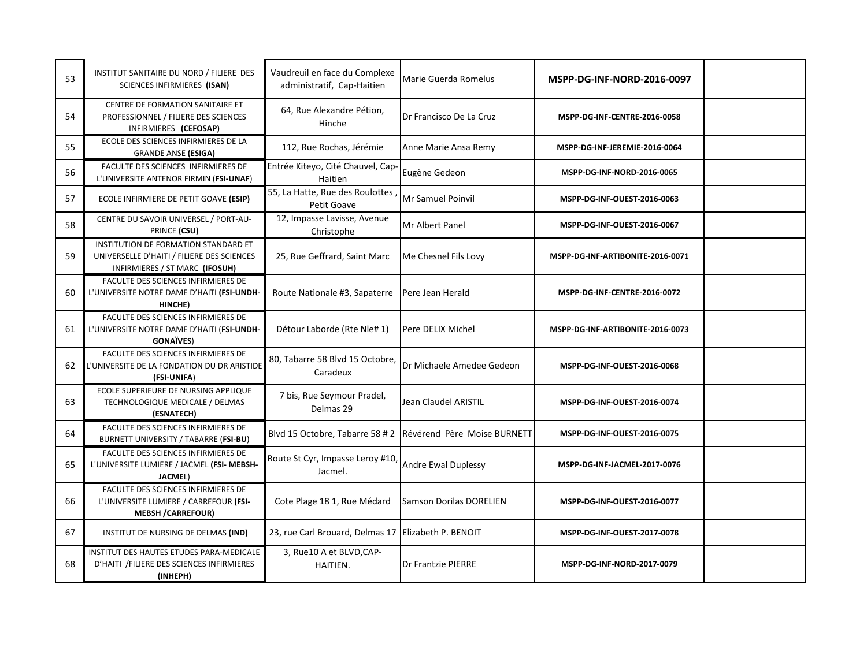| 53 | INSTITUT SANITAIRE DU NORD / FILIERE DES<br><b>SCIENCES INFIRMIERES (ISAN)</b>                                       | Vaudreuil en face du Complexe<br>administratif, Cap-Haitien | Marie Guerda Romelus        | MSPP-DG-INF-NORD-2016-0097          |  |
|----|----------------------------------------------------------------------------------------------------------------------|-------------------------------------------------------------|-----------------------------|-------------------------------------|--|
| 54 | CENTRE DE FORMATION SANITAIRE ET<br>PROFESSIONNEL / FILIERE DES SCIENCES<br>INFIRMIERES (CEFOSAP)                    | 64, Rue Alexandre Pétion,<br>Hinche                         | Dr Francisco De La Cruz     | <b>MSPP-DG-INF-CENTRE-2016-0058</b> |  |
| 55 | ECOLE DES SCIENCES INFIRMIERES DE LA<br><b>GRANDE ANSE (ESIGA)</b>                                                   | 112, Rue Rochas, Jérémie                                    | Anne Marie Ansa Remy        | MSPP-DG-INF-JEREMIE-2016-0064       |  |
| 56 | FACULTE DES SCIENCES INFIRMIERES DE<br>L'UNIVERSITE ANTENOR FIRMIN (FSI-UNAF)                                        | Entrée Kiteyo, Cité Chauvel, Cap-<br>Haitien                | Eugène Gedeon               | MSPP-DG-INF-NORD-2016-0065          |  |
| 57 | ECOLE INFIRMIERE DE PETIT GOAVE (ESIP)                                                                               | 55, La Hatte, Rue des Roulottes,<br>Petit Goave             | <b>Mr Samuel Poinvil</b>    | MSPP-DG-INF-OUEST-2016-0063         |  |
| 58 | CENTRE DU SAVOIR UNIVERSEL / PORT-AU-<br>PRINCE (CSU)                                                                | 12, Impasse Lavisse, Avenue<br>Christophe                   | Mr Albert Panel             | MSPP-DG-INF-OUEST-2016-0067         |  |
| 59 | INSTITUTION DE FORMATION STANDARD ET<br>UNIVERSELLE D'HAITI / FILIERE DES SCIENCES<br>INFIRMIERES / ST MARC (IFOSUH) | 25, Rue Geffrard, Saint Marc                                | Me Chesnel Fils Lovy        | MSPP-DG-INF-ARTIBONITE-2016-0071    |  |
| 60 | FACULTE DES SCIENCES INFIRMIERES DE<br>L'UNIVERSITE NOTRE DAME D'HAITI (FSI-UNDH-<br>HINCHE)                         | Route Nationale #3, Sapaterre                               | Pere Jean Herald            | MSPP-DG-INF-CENTRE-2016-0072        |  |
| 61 | FACULTE DES SCIENCES INFIRMIERES DE<br>L'UNIVERSITE NOTRE DAME D'HAITI (FSI-UNDH-<br><b>GONAÏVES</b> )               | Détour Laborde (Rte Nle# 1)                                 | Pere DELIX Michel           | MSPP-DG-INF-ARTIBONITE-2016-0073    |  |
| 62 | FACULTE DES SCIENCES INFIRMIERES DE<br>L'UNIVERSITE DE LA FONDATION DU DR ARISTIDE<br>(FSI-UNIFA)                    | 80, Tabarre 58 Blvd 15 Octobre,<br>Caradeux                 | Dr Michaele Amedee Gedeon   | MSPP-DG-INF-OUEST-2016-0068         |  |
| 63 | ECOLE SUPERIEURE DE NURSING APPLIQUE<br>TECHNOLOGIQUE MEDICALE / DELMAS<br>(ESNATECH)                                | 7 bis, Rue Seymour Pradel,<br>Delmas 29                     | <b>Jean Claudel ARISTIL</b> | MSPP-DG-INF-OUEST-2016-0074         |  |
| 64 | FACULTE DES SCIENCES INFIRMIERES DE<br>BURNETT UNIVERSITY / TABARRE (FSI-BU)                                         | Blvd 15 Octobre, Tabarre 58 # 2                             | Révérend Père Moise BURNETT | MSPP-DG-INF-OUEST-2016-0075         |  |
| 65 | FACULTE DES SCIENCES INFIRMIERES DE<br>L'UNIVERSITE LUMIERE / JACMEL (FSI-MEBSH-<br>JACMEL)                          | Route St Cyr, Impasse Leroy #10,<br>Jacmel.                 | <b>Andre Ewal Duplessy</b>  | MSPP-DG-INF-JACMEL-2017-0076        |  |
| 66 | FACULTE DES SCIENCES INFIRMIERES DE<br>L'UNIVERSITE LUMIERE / CARREFOUR (FSI-<br><b>MEBSH /CARREFOUR)</b>            | Cote Plage 18 1, Rue Médard                                 | Samson Dorilas DORELIEN     | MSPP-DG-INF-OUEST-2016-0077         |  |
| 67 | INSTITUT DE NURSING DE DELMAS (IND)                                                                                  | 23, rue Carl Brouard, Delmas 17                             | Elizabeth P. BENOIT         | MSPP-DG-INF-OUEST-2017-0078         |  |
| 68 | INSTITUT DES HAUTES ETUDES PARA-MEDICALE<br>D'HAITI /FILIERE DES SCIENCES INFIRMIERES<br>(INHEPH)                    | 3, Rue10 A et BLVD, CAP-<br>HAITIEN.                        | Dr Frantzie PIERRE          | MSPP-DG-INF-NORD-2017-0079          |  |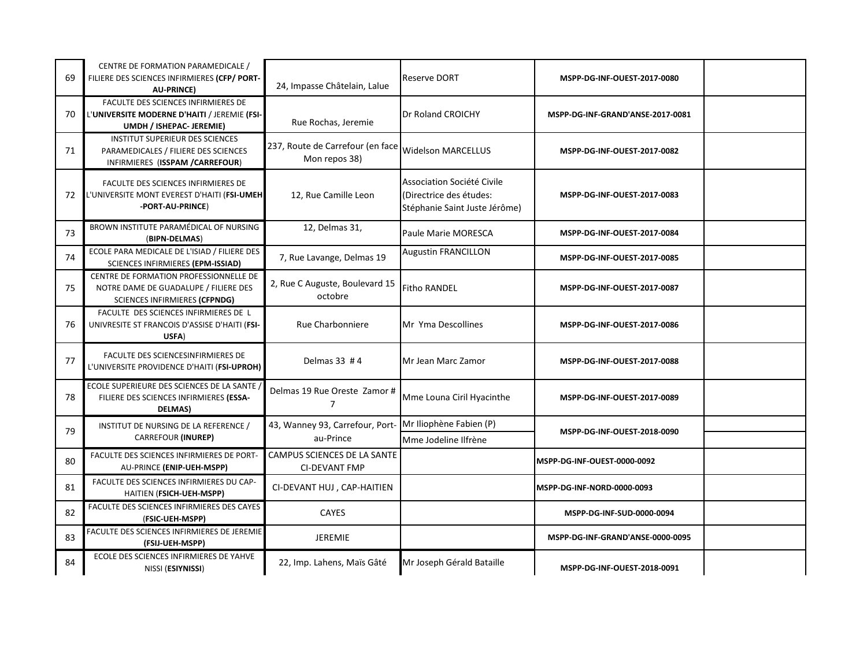| 69 | CENTRE DE FORMATION PARAMEDICALE /<br>FILIERE DES SCIENCES INFIRMIERES (CFP/ PORT-<br><b>AU-PRINCE)</b>                 | 24, Impasse Châtelain, Lalue                        | <b>Reserve DORT</b>                                                                    | MSPP-DG-INF-OUEST-2017-0080      |  |
|----|-------------------------------------------------------------------------------------------------------------------------|-----------------------------------------------------|----------------------------------------------------------------------------------------|----------------------------------|--|
| 70 | FACULTE DES SCIENCES INFIRMIERES DE<br>'UNIVERSITE MODERNE D'HAITI / JEREMIE (FSI-<br>UMDH / ISHEPAC- JEREMIE)          | Rue Rochas, Jeremie                                 | Dr Roland CROICHY                                                                      | MSPP-DG-INF-GRAND'ANSE-2017-0081 |  |
| 71 | <b>INSTITUT SUPERIEUR DES SCIENCES</b><br>PARAMEDICALES / FILIERE DES SCIENCES<br>INFIRMIERES (ISSPAM / CARREFOUR)      | 237, Route de Carrefour (en face<br>Mon repos 38)   | <b>Widelson MARCELLUS</b>                                                              | MSPP-DG-INF-OUEST-2017-0082      |  |
| 72 | FACULTE DES SCIENCES INFIRMIERES DE<br>L'UNIVERSITE MONT EVEREST D'HAITI (FSI-UMEH<br>-PORT-AU-PRINCE)                  | 12, Rue Camille Leon                                | Association Société Civile<br>(Directrice des études:<br>Stéphanie Saint Juste Jérôme) | MSPP-DG-INF-OUEST-2017-0083      |  |
| 73 | BROWN INSTITUTE PARAMÉDICAL OF NURSING<br>(BIPN-DELMAS)                                                                 | 12, Delmas 31,                                      | Paule Marie MORESCA                                                                    | MSPP-DG-INF-OUEST-2017-0084      |  |
| 74 | ECOLE PARA MEDICALE DE L'ISIAD / FILIERE DES<br>SCIENCES INFIRMIERES (EPM-ISSIAD)                                       | 7, Rue Lavange, Delmas 19                           | <b>Augustin FRANCILLON</b>                                                             | MSPP-DG-INF-OUEST-2017-0085      |  |
| 75 | CENTRE DE FORMATION PROFESSIONNELLE DE<br>NOTRE DAME DE GUADALUPE / FILIERE DES<br><b>SCIENCES INFIRMIERES (CFPNDG)</b> | 2, Rue C Auguste, Boulevard 15<br>octobre           | <b>Fitho RANDEL</b>                                                                    | MSPP-DG-INF-OUEST-2017-0087      |  |
| 76 | FACULTE DES SCIENCES INFIRMIERES DE L<br>UNIVRESITE ST FRANCOIS D'ASSISE D'HAITI (FSI-<br>USFA)                         | Rue Charbonniere                                    | Mr Yma Descollines                                                                     | MSPP-DG-INF-OUEST-2017-0086      |  |
| 77 | FACULTE DES SCIENCESINFIRMIERES DE<br>L'UNIVERSITE PROVIDENCE D'HAITI (FSI-UPROH)                                       | Delmas 33 #4                                        | Mr Jean Marc Zamor                                                                     | MSPP-DG-INF-OUEST-2017-0088      |  |
| 78 | ECOLE SUPERIEURE DES SCIENCES DE LA SANTE<br>FILIERE DES SCIENCES INFIRMIERES (ESSA-<br><b>DELMAS)</b>                  | Delmas 19 Rue Oreste Zamor#<br>7                    | Mme Louna Ciril Hyacinthe                                                              | MSPP-DG-INF-OUEST-2017-0089      |  |
| 79 | INSTITUT DE NURSING DE LA REFERENCE /                                                                                   | 43, Wanney 93, Carrefour, Port-                     | Mr Iliophène Fabien (P)                                                                | MSPP-DG-INF-OUEST-2018-0090      |  |
|    | CARREFOUR (INUREP)                                                                                                      | au-Prince                                           | Mme Jodeline Ilfrène                                                                   |                                  |  |
| 80 | FACULTE DES SCIENCES INFIRMIERES DE PORT-<br>AU-PRINCE (ENIP-UEH-MSPP)                                                  | CAMPUS SCIENCES DE LA SANTE<br><b>CI-DEVANT FMP</b> |                                                                                        | MSPP-DG-INF-OUEST-0000-0092      |  |
| 81 | FACULTE DES SCIENCES INFIRMIERES DU CAP-<br>HAITIEN (FSICH-UEH-MSPP)                                                    | CI-DEVANT HUJ, CAP-HAITIEN                          |                                                                                        | MSPP-DG-INF-NORD-0000-0093       |  |
| 82 | FACULTE DES SCIENCES INFIRMIERES DES CAYES<br>(FSIC-UEH-MSPP)                                                           | <b>CAYES</b>                                        |                                                                                        | MSPP-DG-INF-SUD-0000-0094        |  |
| 83 | FACULTE DES SCIENCES INFIRMIERES DE JEREMIE<br>(FSIJ-UEH-MSPP)                                                          | <b>JEREMIE</b>                                      |                                                                                        | MSPP-DG-INF-GRAND'ANSE-0000-0095 |  |
| 84 | ECOLE DES SCIENCES INFIRMIERES DE YAHVE<br>NISSI (ESIYNISSI)                                                            | 22, Imp. Lahens, Maïs Gâté                          | Mr Joseph Gérald Bataille                                                              | MSPP-DG-INF-OUEST-2018-0091      |  |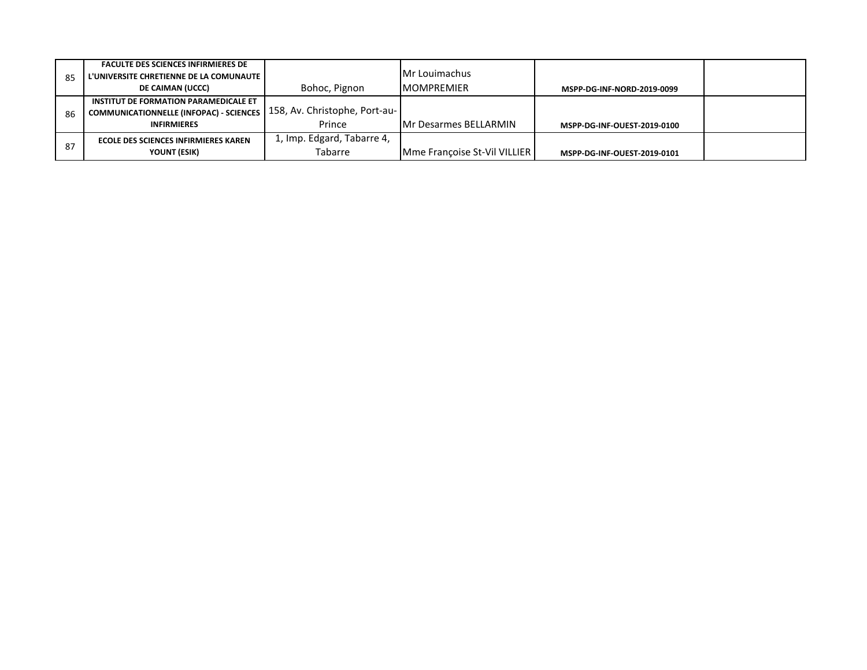|    | <b>FACULTE DES SCIENCES INFIRMIERES DE</b>                                 |                            |                               |                             |  |
|----|----------------------------------------------------------------------------|----------------------------|-------------------------------|-----------------------------|--|
| 85 | L'UNIVERSITE CHRETIENNE DE LA COMUNAUTE                                    |                            | <b>Mr Louimachus</b>          |                             |  |
|    | DE CAIMAN (UCCC)                                                           | Bohoc, Pignon              | <b>IMOMPREMIER</b>            | MSPP-DG-INF-NORD-2019-0099  |  |
|    | INSTITUT DE FORMATION PARAMEDICALE ET                                      |                            |                               |                             |  |
| 86 | I COMMUNICATIONNELLE (INFOPAC) - SCIENCES   158, Av. Christophe, Port-au-I |                            |                               |                             |  |
|    | <b>INFIRMIERES</b>                                                         | Prince                     | <b>IMr Desarmes BELLARMIN</b> | MSPP-DG-INF-OUEST-2019-0100 |  |
| 87 | <b>ECOLE DES SCIENCES INFIRMIERES KAREN</b>                                | 1, Imp. Edgard, Tabarre 4. |                               |                             |  |
|    | YOUNT (ESIK)                                                               | Tabarre                    | Mme Françoise St-Vil VILLIER  | MSPP-DG-INF-OUEST-2019-0101 |  |